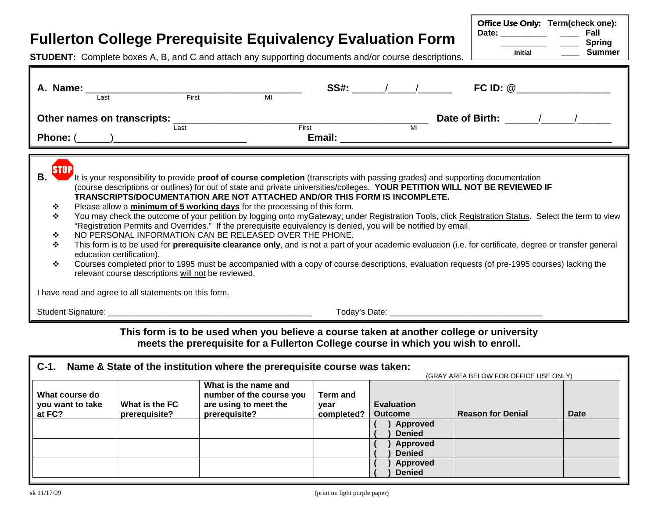# **Fullerton College Prerequisite Equivalency Evaluation Form**

Office Use Only: **Term(check one): Date: \_\_\_\_\_\_\_\_\_\_ \_\_\_\_ Fall \_\_\_\_\_\_\_\_\_\_ \_\_\_\_ Spring Initial Summer**

**STUDENT:** Complete boxes A, B, and C and attach any supporting documents and/or course descriptions.

| A. Name:<br>First<br>Last                                                                                                                                                                                                                                                                                                                                                                                                                                                                                                   | MI    | $SS#:$ / /<br>FC ID: $@$                                                                                                                                                                                                                                                                                                                                                                                                                                                                                                                                                                                                                                                                                                                        |
|-----------------------------------------------------------------------------------------------------------------------------------------------------------------------------------------------------------------------------------------------------------------------------------------------------------------------------------------------------------------------------------------------------------------------------------------------------------------------------------------------------------------------------|-------|-------------------------------------------------------------------------------------------------------------------------------------------------------------------------------------------------------------------------------------------------------------------------------------------------------------------------------------------------------------------------------------------------------------------------------------------------------------------------------------------------------------------------------------------------------------------------------------------------------------------------------------------------------------------------------------------------------------------------------------------------|
| Other names on transcripts:<br>Last                                                                                                                                                                                                                                                                                                                                                                                                                                                                                         | First | Date of Birth: / /<br>MI                                                                                                                                                                                                                                                                                                                                                                                                                                                                                                                                                                                                                                                                                                                        |
| В.<br>TRANSCRIPTS/DOCUMENTATION ARE NOT ATTACHED AND/OR THIS FORM IS INCOMPLETE.<br>Please allow a minimum of 5 working days for the processing of this form.<br>∙≫<br>$\bullet$<br>"Registration Permits and Overrides." If the prerequisite equivalency is denied, you will be notified by email.<br>NO PERSONAL INFORMATION CAN BE RELEASED OVER THE PHONE.<br>∙≛∙<br>❖<br>education certification).<br>❖<br>relevant course descriptions will not be reviewed.<br>I have read and agree to all statements on this form. |       | It is your responsibility to provide <b>proof of course completion</b> (transcripts with passing grades) and supporting documentation<br>(course descriptions or outlines) for out of state and private universities/colleges. YOUR PETITION WILL NOT BE REVIEWED IF<br>You may check the outcome of your petition by logging onto myGateway; under Registration Tools, click Registration Status. Select the term to view<br>This form is to be used for <b>prerequisite clearance only</b> , and is not a part of your academic evaluation (i.e. for certificate, degree or transfer general<br>Courses completed prior to 1995 must be accompanied with a copy of course descriptions, evaluation requests (of pre-1995 courses) lacking the |
|                                                                                                                                                                                                                                                                                                                                                                                                                                                                                                                             |       |                                                                                                                                                                                                                                                                                                                                                                                                                                                                                                                                                                                                                                                                                                                                                 |
|                                                                                                                                                                                                                                                                                                                                                                                                                                                                                                                             |       | This ferm is to be used when you believe a seures taken of another sellege or university                                                                                                                                                                                                                                                                                                                                                                                                                                                                                                                                                                                                                                                        |

### **This form is to be used when you believe a course taken at another college or university meets the prerequisite for a Fullerton College course in which you wish to enroll.**

| $C-1$ .                            |                | Name & State of the institution where the prerequisite course was taken:  |                  |                           | (GRAY AREA BELOW FOR OFFICE USE ONLY) |      |
|------------------------------------|----------------|---------------------------------------------------------------------------|------------------|---------------------------|---------------------------------------|------|
| What course do<br>you want to take | What is the FC | What is the name and<br>number of the course you<br>are using to meet the | Term and<br>vear | <b>Evaluation</b>         |                                       |      |
| at FC?                             | prerequisite?  | prerequisite?                                                             | completed?       | <b>Outcome</b>            | <b>Reason for Denial</b>              | Date |
|                                    |                |                                                                           |                  | Approved<br><b>Denied</b> |                                       |      |
|                                    |                |                                                                           |                  | <b>Approved</b>           |                                       |      |
|                                    |                |                                                                           |                  | <b>Denied</b>             |                                       |      |
|                                    |                |                                                                           |                  | Approved<br><b>Denied</b> |                                       |      |